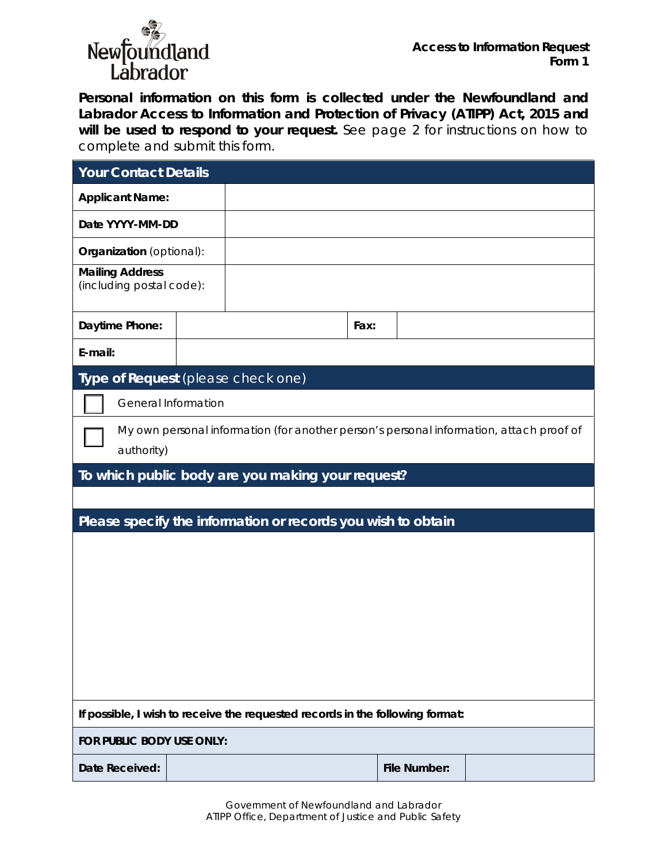

**Personal information on this form is collected under the Newfoundland and Labrador** *Access to Information and Protection of Privacy (ATIPP) Act, 2015* **and will be used to respond to your request.** See page 2 for instructions on how to complete and submit this form.

| <b>Your Contact Details</b>                                                                           |  |  |      |                     |  |  |
|-------------------------------------------------------------------------------------------------------|--|--|------|---------------------|--|--|
| <b>Applicant Name:</b>                                                                                |  |  |      |                     |  |  |
| Date YYYY-MM-DD                                                                                       |  |  |      |                     |  |  |
| Organization (optional):                                                                              |  |  |      |                     |  |  |
| <b>Mailing Address</b><br>(including postal code):                                                    |  |  |      |                     |  |  |
| Daytime Phone:                                                                                        |  |  | Fax: |                     |  |  |
| E-mail:                                                                                               |  |  |      |                     |  |  |
| Type of Request (please check one)                                                                    |  |  |      |                     |  |  |
| <b>General Information</b>                                                                            |  |  |      |                     |  |  |
| My own personal information (for another person's personal information, attach proof of<br>authority) |  |  |      |                     |  |  |
| To which public body are you making your request?                                                     |  |  |      |                     |  |  |
|                                                                                                       |  |  |      |                     |  |  |
| Please specify the information or records you wish to obtain                                          |  |  |      |                     |  |  |
|                                                                                                       |  |  |      |                     |  |  |
|                                                                                                       |  |  |      |                     |  |  |
|                                                                                                       |  |  |      |                     |  |  |
|                                                                                                       |  |  |      |                     |  |  |
|                                                                                                       |  |  |      |                     |  |  |
|                                                                                                       |  |  |      |                     |  |  |
|                                                                                                       |  |  |      |                     |  |  |
| If possible, I wish to receive the requested records in the following format:                         |  |  |      |                     |  |  |
| FOR PUBLIC BODY USE ONLY:                                                                             |  |  |      |                     |  |  |
| Date Received:                                                                                        |  |  |      | <b>File Number:</b> |  |  |